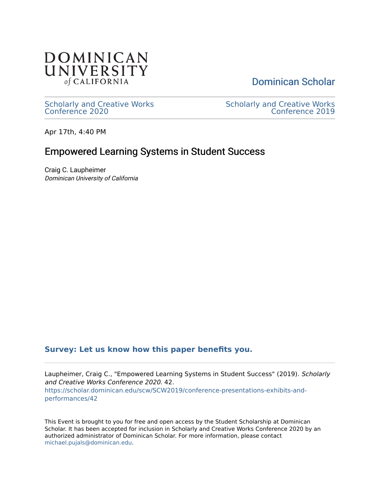

[Dominican Scholar](https://scholar.dominican.edu/) 

[Scholarly and Creative Works](https://scholar.dominican.edu/scw) [Conference 2020](https://scholar.dominican.edu/scw) 

[Scholarly and Creative Works](https://scholar.dominican.edu/scw/SCW2019)  [Conference 2019](https://scholar.dominican.edu/scw/SCW2019) 

Apr 17th, 4:40 PM

#### Empowered Learning Systems in Student Success

Craig C. Laupheimer Dominican University of California

#### **[Survey: Let us know how this paper benefits you.](https://dominican.libwizard.com/dominican-scholar-feedback)**

Laupheimer, Craig C., "Empowered Learning Systems in Student Success" (2019). Scholarly and Creative Works Conference 2020. 42. [https://scholar.dominican.edu/scw/SCW2019/conference-presentations-exhibits-and](https://scholar.dominican.edu/scw/SCW2019/conference-presentations-exhibits-and-performances/42?utm_source=scholar.dominican.edu%2Fscw%2FSCW2019%2Fconference-presentations-exhibits-and-performances%2F42&utm_medium=PDF&utm_campaign=PDFCoverPages)[performances/42](https://scholar.dominican.edu/scw/SCW2019/conference-presentations-exhibits-and-performances/42?utm_source=scholar.dominican.edu%2Fscw%2FSCW2019%2Fconference-presentations-exhibits-and-performances%2F42&utm_medium=PDF&utm_campaign=PDFCoverPages)

This Event is brought to you for free and open access by the Student Scholarship at Dominican Scholar. It has been accepted for inclusion in Scholarly and Creative Works Conference 2020 by an authorized administrator of Dominican Scholar. For more information, please contact [michael.pujals@dominican.edu.](mailto:michael.pujals@dominican.edu)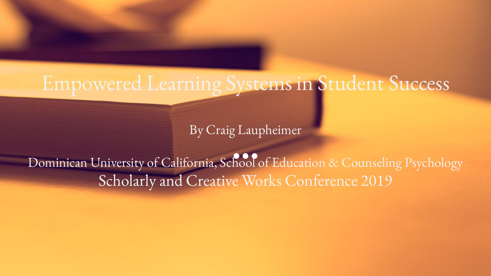#### Empowered Learning Systems in Student Success

By Craig Laupheimer

Dominican University of California, School of Education & Counseling Psychology Scholarly and Creative Works Conference 2019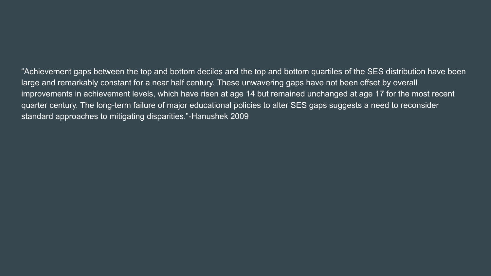"Achievement gaps between the top and bottom deciles and the top and bottom quartiles of the SES distribution have been large and remarkably constant for a near half century. These unwavering gaps have not been offset by overall improvements in achievement levels, which have risen at age 14 but remained unchanged at age 17 for the most recent quarter century. The long-term failure of major educational policies to alter SES gaps suggests a need to reconsider standard approaches to mitigating disparities."-Hanushek 2009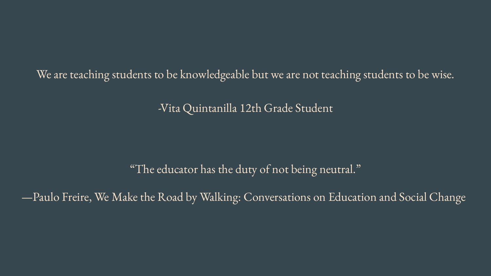We are teaching students to be knowledgeable but we are not teaching students to be wise.

-Vita Quintanilla 12th Grade Student

"The educator has the duty of not being neutral."

—Paulo Freire, [We Make the Road by Walking: Conversations on Education and Social Change](https://www.goodreads.com/work/quotes/101170)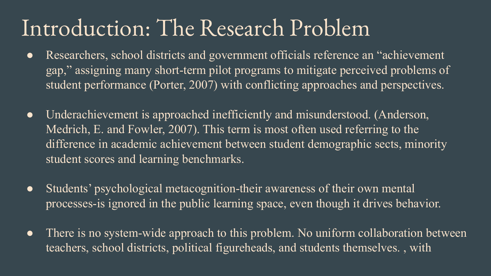### Introduction: The Research Problem

- Researchers, school districts and government officials reference an "achievement gap," assigning many short-term pilot programs to mitigate perceived problems of student performance (Porter, 2007) with conflicting approaches and perspectives.
- Underachievement is approached inefficiently and misunderstood. (Anderson, Medrich, E. and Fowler, 2007). This term is most often used referring to the difference in academic achievement between student demographic sects, minority student scores and learning benchmarks.
- Students' psychological metacognition-their awareness of their own mental processes-is ignored in the public learning space, even though it drives behavior.
- There is no system-wide approach to this problem. No uniform collaboration between teachers, school districts, political figureheads, and students themselves. , with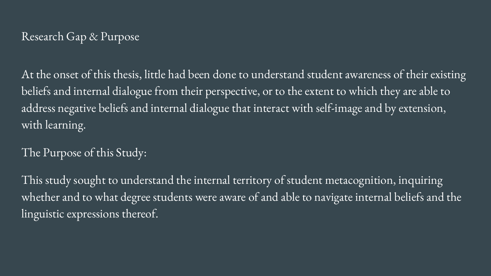#### Research Gap & Purpose

At the onset of this thesis, little had been done to understand student awareness of their existing beliefs and internal dialogue from their perspective, or to the extent to which they are able to address negative beliefs and internal dialogue that interact with self-image and by extension, with learning.

#### The Purpose of this Study:

This study sought to understand the internal territory of student metacognition, inquiring whether and to what degree students were aware of and able to navigate internal beliefs and the linguistic expressions thereof.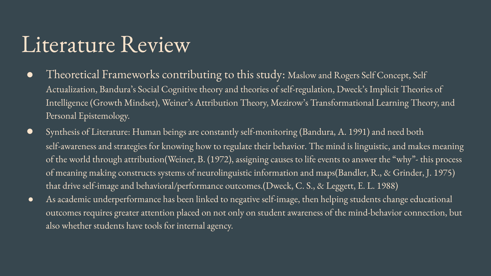#### Literature Review

- Theoretical Frameworks contributing to this study: Maslow and Rogers Self Concept, Self Actualization, Bandura's Social Cognitive theory and theories of self-regulation, Dweck's Implicit Theories of Intelligence (Growth Mindset), Weiner's Attribution Theory, Mezirow's Transformational Learning Theory, and Personal Epistemology.
- Synthesis of Literature: Human beings are constantly self-monitoring (Bandura, A. 1991) and need both self-awareness and strategies for knowing how to regulate their behavior. The mind is linguistic, and makes meaning of the world through attribution(Weiner, B. (1972), assigning causes to life events to answer the "why"- this process of meaning making constructs systems of neurolinguistic information and maps(Bandler, R., & Grinder, J. 1975) that drive self-image and behavioral/performance outcomes.(Dweck, C. S., & Leggett, E. L. 1988)
- As academic underperformance has been linked to negative self-image, then helping students change educational outcomes requires greater attention placed on not only on student awareness of the mind-behavior connection, but also whether students have tools for internal agency.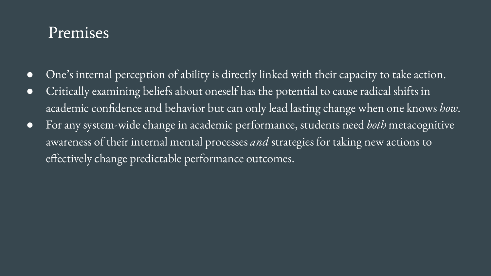#### Premises

- One's internal perception of ability is directly linked with their capacity to take action.
- Critically examining beliefs about oneself has the potential to cause radical shifts in academic confidence and behavior but can only lead lasting change when one knows *how*.
- For any system-wide change in academic performance, students need *both* metacognitive awareness of their internal mental processes *and* strategies for taking new actions to effectively change predictable performance outcomes.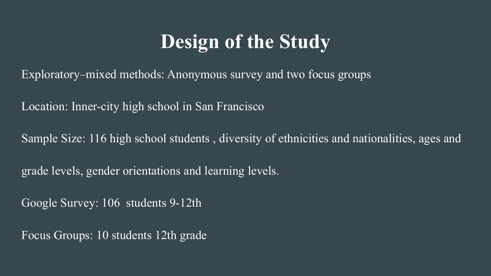#### **Design of the Study**

Exploratory–mixed methods: Anonymous survey and two focus groups

Location: Inner-city high school in San Francisco

Sample Size: 116 high school students , diversity of ethnicities and nationalities, ages and

grade levels, gender orientations and learning levels.

Google Survey: 106 students 9-12th

Focus Groups: 10 students 12th grade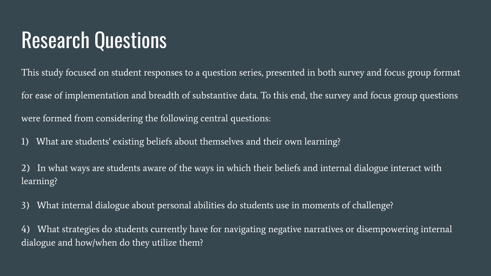#### Research Questions

This study focused on student responses to a question series, presented in both survey and focus group format for ease of implementation and breadth of substantive data. To this end, the survey and focus group questions were formed from considering the following central questions:

1) What are students' existing beliefs about themselves and their own learning?

2) In what ways are students aware of the ways in which their beliefs and internal dialogue interact with learning?

3) What internal dialogue about personal abilities do students use in moments of challenge?

4) What strategies do students currently have for navigating negative narratives or disempowering internal dialogue and how/when do they utilize them?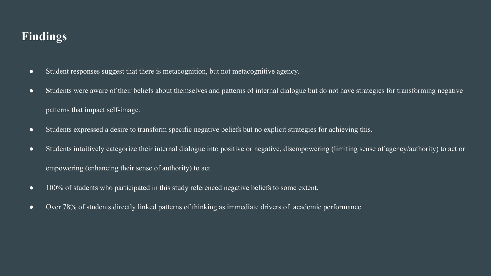#### **Findings**

- Student responses suggest that there is metacognition, but not metacognitive agency.
- **S**tudents were aware of their beliefs about themselves and patterns of internal dialogue but do not have strategies for transforming negative patterns that impact self-image.
- Students expressed a desire to transform specific negative beliefs but no explicit strategies for achieving this.
- Students intuitively categorize their internal dialogue into positive or negative, disempowering (limiting sense of agency/authority) to act or empowering (enhancing their sense of authority) to act.
- 100% of students who participated in this study referenced negative beliefs to some extent.
- Over 78% of students directly linked patterns of thinking as immediate drivers of academic performance.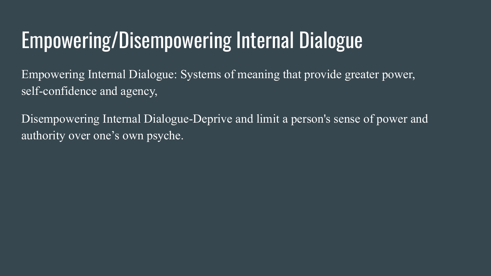## Empowering/Disempowering Internal Dialogue

Empowering Internal Dialogue: Systems of meaning that provide greater power, self-confidence and agency,

Disempowering Internal Dialogue-Deprive and limit a person's sense of power and authority over one's own psyche.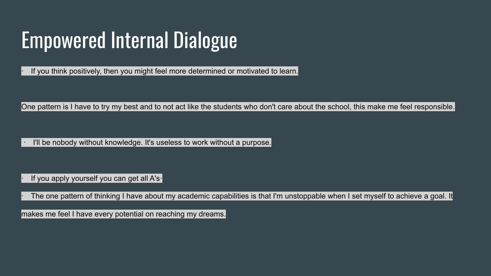# Empowered Internal Dialogue

If you think positively, then you might feel more determined or motivated to learn.

One pattern is I have to try my best and to not act like the students who don't care about the school, this make me feel responsible.

I'll be nobody without knowledge. It's useless to work without a purpose.

If you apply yourself you can get all A's |

The one pattern of thinking I have about my academic capabilities is that I'm unstoppable when I set myself to achieve a goal. It

makes me feel I have every potential on reaching my dreams.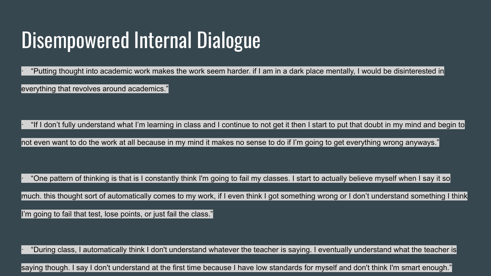### Disempowered Internal Dialogue

· "Putting thought into academic work makes the work seem harder. if I am in a dark place mentally, I would be disinterested in everything that revolves around academics."

· "If I don't fully understand what I'm learning in class and I continue to not get it then I start to put that doubt in my mind and begin to

not even want to do the work at all because in my mind it makes no sense to do if I'm going to get everything wrong anyways."

"One pattern of thinking is that is I constantly think I'm going to fail my classes. I start to actually believe myself when I say it so

much. this thought sort of automatically comes to my work, if I even think I got something wrong or I don't understand something I think

I'm going to fail that test, lose points, or just fail the class."

· "During class, I automatically think I don't understand whatever the teacher is saying. I eventually understand what the teacher is

saying though. I say I don't understand at the first time because I have low standards for myself and don't think I'm smart enough."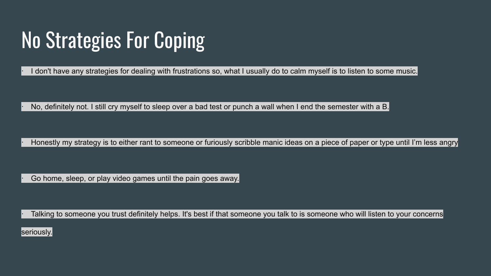## No Strategies For Coping

I don't have any strategies for dealing with frustrations so, what I usually do to calm myself is to listen to some music.

No, definitely not. I still cry myself to sleep over a bad test or punch a wall when I end the semester with a B.

Honestly my strategy is to either rant to someone or furiously scribble manic ideas on a piece of paper or type until I'm less angry

Go home, sleep, or play video games until the pain goes away.

Talking to someone you trust definitely helps. It's best if that someone you talk to is someone who will listen to your concerns

seriously.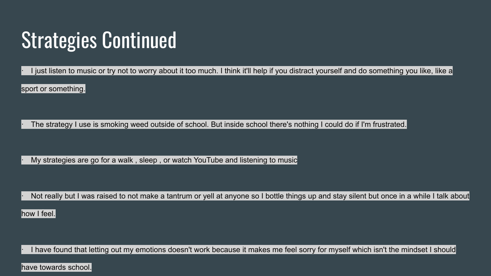### Strategies Continued

I just listen to music or try not to worry about it too much. I think it'll help if you distract yourself and do something you like, like a

sport or something.

The strategy I use is smoking weed outside of school. But inside school there's nothing I could do if I'm frustrated.

My strategies are go for a walk, sleep, or watch YouTube and listening to music

Not really but I was raised to not make a tantrum or yell at anyone so I bottle things up and stay silent but once in a while I talk about

how I feel.

I have found that letting out my emotions doesn't work because it makes me feel sorry for myself which isn't the mindset I should

have towards school.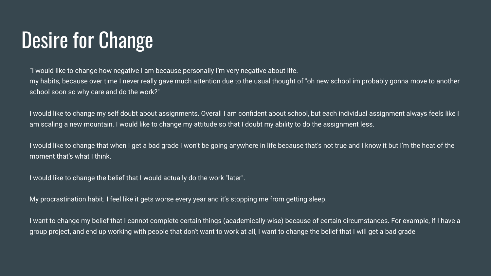### Desire for Change

"I would like to change how negative I am because personally I'm very negative about life.

my habits, because over time I never really gave much attention due to the usual thought of "oh new school im probably gonna move to another school soon so why care and do the work?"

I would like to change my self doubt about assignments. Overall I am confident about school, but each individual assignment always feels like I am scaling a new mountain. I would like to change my attitude so that I doubt my ability to do the assignment less.

I would like to change that when I get a bad grade I won't be going anywhere in life because that's not true and I know it but I'm the heat of the moment that's what I think.

I would like to change the belief that I would actually do the work "later".

My procrastination habit. I feel like it gets worse every year and it's stopping me from getting sleep.

I want to change my belief that I cannot complete certain things (academically-wise) because of certain circumstances. For example, if I have a group project, and end up working with people that don't want to work at all, I want to change the belief that I will get a bad grade